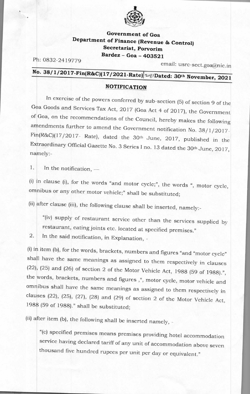

## **Government of Goa Department of Finance (Revenue & Control) Secretariat, Porvorim Bardez - Goa - 403521**

Ph: 0832-2419779

email: usrc-sect.goa@nic.in

## **No. 38/1/2017-Fin(R&C)(17/2021-Rate)** 28/Dated: 30<sup>th</sup> November, 2021

## **NOTIFICATION**

In exercise of the powers conferred by sub-section (5) of section 9 of the **<sup>G</sup>**a Goods and Services Tax Act, 2017 (Goa Act 4 of 2017), the Government **of** Goa, on the recommendations of the Council, hereby makes the following amendments further to amend the Government notification No. 38/1/2017- $Fin(R&C)(17/2017-Rate)$ , dated the 30<sup>th</sup> June, 2017, published in the Extraordinary Official Gazette No. 3 Series I no. 13 dated the 30th June, 2017, namely:-

In the notification, — 1.

 $(1)$  in clause  $(1)$ , for the words "and motor cycle;", the words ", motor cycle omnibus or any other motor vehicle;" shall be substituted;

(ii) after clause (iii), the Following clause shall be inserted, namely:-

"(iv) supply of restaurant service other than the services supplied by restaurant, eating joints etc. located at specified premises."

2. In the said notification, in Explanation, -

(i) in item (b), for the words, brackets, numbers and figures "and "motor cycle" shall have the same meanings as assigned to them respectively in clauses (22), (25) and (26) of section 2 of the Motor Vehicle Act, 1988 (59 of 1988).", the words, brackets, numbers and figures ,", motor cycle, motor vehicle and omnibus shall have the same meanings as assigned to them respectively in clauses (22), (25), (27), (28) and (29) of section 2 of the Motor Vehicle Act, 1988 (59 of 1988)." shall be substituted;

(ii) after item (b), the following shall be inserted namely, -

"(c) specified premises means premises providing hotel accommodation service having declared tariff of any unit of accommodation above seven thousand five hundred rupees per unit per day or equivalent."